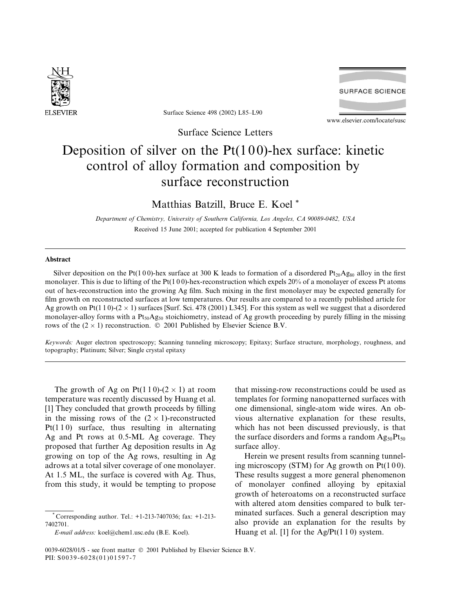

**SURFACE SCIENCE** 

Surface Science 498 (2002) L85–L90

www.elsevier.com/locate/susc

Surface Science Letters

## Deposition of silver on the  $Pt(100)$ -hex surface: kinetic control of alloy formation and composition by surface reconstruction

Matthias Batzill, Bruce E. Koel \*

Department of Chemistry, University of Southern California, Los Angeles, CA 90089-0482, USA Received 15 June 2001; accepted for publication 4 September 2001

## Abstract

Silver deposition on the Pt(100)-hex surface at 300 K leads to formation of a disordered Pt<sub>20</sub>Ag<sub>80</sub> alloy in the first monolayer. This is due to lifting of the Pt(100)-hex-reconstruction which expels  $20\%$  of a monolayer of excess Pt atoms out of hex-reconstruction into the growing Ag film. Such mixing in the first monolayer may be expected generally for film growth on reconstructed surfaces at low temperatures. Our results are compared to a recently published article for Ag growth on Pt(1 1 0)-(2  $\times$  1) surfaces [Surf. Sci. 478 (2001) L345]. For this system as well we suggest that a disordered monolayer-alloy forms with a  $Pt_{50}Ag_{50}$  stoichiometry, instead of Ag growth proceeding by purely filling in the missing rows of the  $(2 \times 1)$  reconstruction.  $\odot$  2001 Published by Elsevier Science B.V.

Keywords: Auger electron spectroscopy; Scanning tunneling microscopy; Epitaxy; Surface structure, morphology, roughness, and topography; Platinum; Silver; Single crystal epitaxy

The growth of Ag on Pt(1 1 0)-(2  $\times$  1) at room temperature was recently discussed by Huang et al. [1] They concluded that growth proceeds by filling in the missing rows of the  $(2 \times 1)$ -reconstructed  $Pt(1 1 0)$  surface, thus resulting in alternating Ag and Pt rows at 0.5-ML Ag coverage. They proposed that further Ag deposition results in Ag growing on top of the Ag rows, resulting in Ag adrows at a total silver coverage of one monolayer. At 1.5 ML, the surface is covered with Ag. Thus, from this study, it would be tempting to propose

 $^*$  Corresponding author. Tel.:  $+1-213-7407036$ ; fax:  $+1-213-$ 7402701.

E-mail address: koel@chem1.usc.edu (B.E. Koel).

that missing-row reconstructions could be used as templates for forming nanopatterned surfaces with one dimensional, single-atom wide wires. An obvious alternative explanation for these results, which has not been discussed previously, is that the surface disorders and forms a random  $\text{Ag}_{50}\text{Pt}_{50}$ surface alloy.

Herein we present results from scanning tunneling microscopy (STM) for Ag growth on  $Pt(100)$ . These results suggest a more general phenomenon of monolayer confined alloying by epitaxial growth of heteroatoms on a reconstructed surface with altered atom densities compared to bulk terminated surfaces. Such a general description may also provide an explanation for the results by Huang et al. [1] for the  $Ag/Pt(110)$  system.

<sup>0039-6028/01/\$ -</sup> see front matter  $\degree$  2001 Published by Elsevier Science B.V. PII: S0039-6028(01)01597-7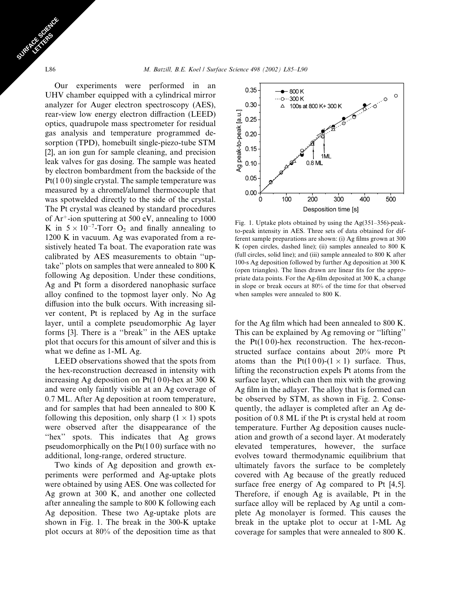Our experiments were performed in an UHV chamber equipped with a cylindrical mirror analyzer for Auger electron spectroscopy (AES), rear-view low energy electron diffraction (LEED) optics, quadrupole mass spectrometer for residual gas analysis and temperature programmed desorption (TPD), homebuilt single-piezo-tube STM [2], an ion gun for sample cleaning, and precision leak valves for gas dosing. The sample was heated by electron bombardment from the backside of the Pt(100) single crystal. The sample temperature was measured by a chromel/alumel thermocouple that was spotwelded directly to the side of the crystal. The Pt crystal was cleaned by standard procedures of  $Ar^+$ -ion sputtering at 500 eV, annealing to 1000 K in  $5 \times 10^{-7}$ -Torr O<sub>2</sub> and finally annealing to 1200 K in vacuum. Ag was evaporated from a resistively heated Ta boat. The evaporation rate was calibrated by AES measurements to obtain ''uptake'' plots on samples that were annealed to 800 K following Ag deposition. Under these conditions, Ag and Pt form a disordered nanophasic surface alloy confined to the topmost layer only. No Ag diffusion into the bulk occurs. With increasing silver content, Pt is replaced by Ag in the surface layer, until a complete pseudomorphic Ag layer forms [3]. There is a ''break'' in the AES uptake plot that occurs for this amount of silver and this is what we define as 1-ML Ag.

LEED observations showed that the spots from the hex-reconstruction decreased in intensity with increasing Ag deposition on  $Pt(100)$ -hex at 300 K and were only faintly visible at an Ag coverage of 0.7 ML. After Ag deposition at room temperature, and for samples that had been annealed to 800 K following this deposition, only sharp  $(1 \times 1)$  spots were observed after the disappearance of the "hex" spots. This indicates that Ag grows pseudomorphically on the  $Pt(100)$  surface with no additional, long-range, ordered structure.

Two kinds of Ag deposition and growth experiments were performed and Ag-uptake plots were obtained by using AES. One was collected for Ag grown at 300 K, and another one collected after annealing the sample to 800 K following each Ag deposition. These two Ag-uptake plots are shown in Fig. 1. The break in the 300-K uptake plot occurs at 80% of the deposition time as that



Fig. 1. Uptake plots obtained by using the Ag(351–356)-peakto-peak intensity in AES. Three sets of data obtained for different sample preparations are shown: (i) Ag films grown at 300 K (open circles, dashed line); (ii) samples annealed to 800 K (full circles, solid line); and (iii) sample annealed to 800 K after 100-s Ag deposition followed by further Ag deposition at 300 K (open triangles). The lines drawn are linear fits for the appropriate data points. For the Ag-film deposited at 300 K, a change in slope or break occurs at 80% of the time for that observed when samples were annealed to 800 K.

for the Ag film which had been annealed to 800 K. This can be explained by Ag removing or ''lifting'' the  $Pt(100)$ -hex reconstruction. The hex-reconstructed surface contains about 20% more Pt atoms than the  $Pt(100)-(1\times1)$  surface. Thus, lifting the reconstruction expels Pt atoms from the surface layer, which can then mix with the growing Ag film in the adlayer. The alloy that is formed can be observed by STM, as shown in Fig. 2. Consequently, the adlayer is completed after an Ag deposition of 0.8 ML if the Pt is crystal held at room temperature. Further Ag deposition causes nucleation and growth of a second layer. At moderately elevated temperatures, however, the surface evolves toward thermodynamic equilibrium that ultimately favors the surface to be completely covered with Ag because of the greatly reduced surface free energy of Ag compared to Pt [4,5]. Therefore, if enough Ag is available, Pt in the surface alloy will be replaced by Ag until a complete Ag monolayer is formed. This causes the break in the uptake plot to occur at 1-ML Ag coverage for samples that were annealed to 800 K.

SURFACE SCREEN CEL TERS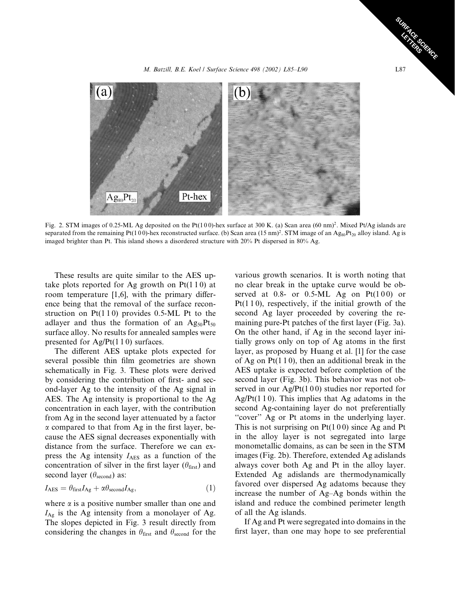M. Batzill, B.E. Koel / Surface Science 498 (2002) L85–L90 L87



Fig. 2. STM images of 0.25-ML Ag deposited on the Pt(100)-hex surface at 300 K. (a) Scan area (60 nm)<sup>2</sup>. Mixed Pt/Ag islands are separated from the remaining Pt(100)-hex reconstructed surface. (b) Scan area (15 nm)<sup>2</sup>. STM image of an Ag<sub>80</sub>Pt<sub>20</sub> alloy island. Ag is imaged brighter than Pt. This island shows a disordered structure with 20% Pt dispersed in 80% Ag.

These results are quite similar to the AES uptake plots reported for Ag growth on  $Pt(110)$  at room temperature [1,6], with the primary difference being that the removal of the surface reconstruction on  $Pt(110)$  provides 0.5-ML Pt to the adlayer and thus the formation of an  $\text{Ag}_{50}\text{Pt}_{50}$ surface alloy. No results for annealed samples were presented for  $Ag/Pt(110)$  surfaces.

The different AES uptake plots expected for several possible thin film geometries are shown schematically in Fig. 3. These plots were derived by considering the contribution of first- and second-layer Ag to the intensity of the Ag signal in AES. The Ag intensity is proportional to the Ag concentration in each layer, with the contribution from Ag in the second layer attenuated by a factor  $\alpha$  compared to that from Ag in the first layer, because the AES signal decreases exponentially with distance from the surface. Therefore we can express the Ag intensity  $I_{\text{AES}}$  as a function of the concentration of silver in the first layer ( $\theta_{\text{first}}$ ) and second layer ( $\theta_{\text{second}}$ ) as:

$$
I_{\text{AES}} = \theta_{\text{first}} I_{\text{Ag}} + \alpha \theta_{\text{second}} I_{\text{Ag}},\tag{1}
$$

where  $\alpha$  is a positive number smaller than one and  $I_{\text{Ag}}$  is the Ag intensity from a monolayer of Ag. The slopes depicted in Fig. 3 result directly from considering the changes in  $\theta_{\text{first}}$  and  $\theta_{\text{second}}$  for the

various growth scenarios. It is worth noting that no clear break in the uptake curve would be observed at  $0.8$ - or  $0.5$ -ML Ag on Pt $(100)$  or  $Pt(110)$ , respectively, if the initial growth of the second Ag layer proceeded by covering the remaining pure-Pt patches of the first layer (Fig. 3a). On the other hand, if Ag in the second layer initially grows only on top of Ag atoms in the first layer, as proposed by Huang et al. [1] for the case of Ag on  $Pt(110)$ , then an additional break in the AES uptake is expected before completion of the second layer (Fig. 3b). This behavior was not observed in our  $Ag/Pt(100)$  studies nor reported for  $Ag/Pt(110)$ . This implies that Ag adatoms in the second Ag-containing layer do not preferentially "cover" Ag or Pt atoms in the underlying layer. This is not surprising on  $Pt(100)$  since Ag and Pt in the alloy layer is not segregated into large monometallic domains, as can be seen in the STM images (Fig. 2b). Therefore, extended Ag adislands always cover both Ag and Pt in the alloy layer. Extended Ag adislands are thermodynamically favored over dispersed Ag adatoms because they increase the number of Ag–Ag bonds within the island and reduce the combined perimeter length of all the Ag islands.

If Ag and Pt were segregated into domains in the first layer, than one may hope to see preferential

SURFACE SCRIENCE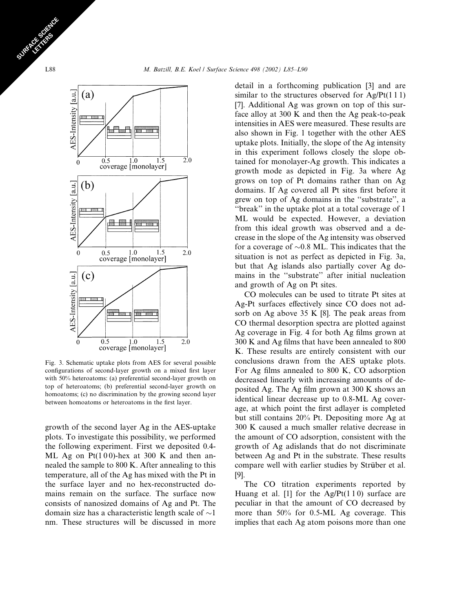

Fig. 3. Schematic uptake plots from AES for several possible configurations of second-layer growth on a mixed first layer with 50% heteroatoms: (a) preferential second-layer growth on top of heteroatoms; (b) preferential second-layer growth on homoatoms; (c) no discrimination by the growing second layer between homoatoms or heteroatoms in the first layer.

growth of the second layer Ag in the AES-uptake plots. To investigate this possibility, we performed the following experiment. First we deposited 0.4- ML Ag on  $Pt(100)$ -hex at 300 K and then annealed the sample to 800 K. After annealing to this temperature, all of the Ag has mixed with the Pt in the surface layer and no hex-reconstructed domains remain on the surface. The surface now consists of nanosized domains of Ag and Pt. The domain size has a characteristic length scale of  $\sim$ 1 nm. These structures will be discussed in more

detail in a forthcoming publication [3] and are similar to the structures observed for  $Ag/Pt(1\ 1\ 1)$ [7]. Additional Ag was grown on top of this surface alloy at  $300 \text{ K}$  and then the Ag peak-to-peak intensities in AES were measured. These results are also shown in Fig. 1 together with the other AES uptake plots. Initially, the slope of the Ag intensity in this experiment follows closely the slope obtained for monolayer-Ag growth. This indicates a growth mode as depicted in Fig. 3a where Ag grows on top of Pt domains rather than on Ag domains. If Ag covered all Pt sites first before it grew on top of Ag domains in the ''substrate'', a "break" in the uptake plot at a total coverage of 1 ML would be expected. However, a deviation from this ideal growth was observed and a decrease in the slope of the Ag intensity was observed for a coverage of  $\sim 0.8$  ML. This indicates that the situation is not as perfect as depicted in Fig. 3a, but that Ag islands also partially cover Ag domains in the ''substrate'' after initial nucleation and growth of Ag on Pt sites.

CO molecules can be used to titrate Pt sites at Ag-Pt surfaces effectively since CO does not adsorb on Ag above 35 K [8]. The peak areas from CO thermal desorption spectra are plotted against Ag coverage in Fig. 4 for both Ag films grown at 300 K and Ag films that have been annealed to 800 K. These results are entirely consistent with our conclusions drawn from the AES uptake plots. For Ag films annealed to 800 K, CO adsorption decreased linearly with increasing amounts of deposited Ag. The Ag film grown at 300 K shows an identical linear decrease up to 0.8-ML Ag coverage, at which point the first adlayer is completed but still contains 20% Pt. Depositing more Ag at 300 K caused a much smaller relative decrease in the amount of CO adsorption, consistent with the growth of Ag adislands that do not discriminate between Ag and Pt in the substrate. These results compare well with earlier studies by Strüber et al. [9].

The CO titration experiments reported by Huang et al. [1] for the  $Ag/Pt(110)$  surface are peculiar in that the amount of CO decreased by more than 50% for 0.5-ML Ag coverage. This implies that each Ag atom poisons more than one

SURFACE SCREEN CEL TERS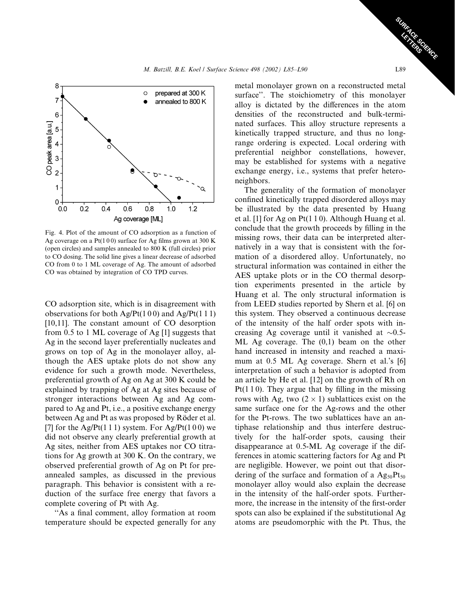

Fig. 4. Plot of the amount of CO adsorption as a function of Ag coverage on a  $Pt(100)$  surface for Ag films grown at 300 K (open circles) and samples annealed to 800 K (full circles) prior to CO dosing. The solid line gives a linear decrease of adsorbed CO from 0 to 1 ML coverage of Ag. The amount of adsorbed CO was obtained by integration of CO TPD curves.

CO adsorption site, which is in disagreement with observations for both  $Ag/Pt(100)$  and  $Ag/Pt(111)$ [10,11]. The constant amount of CO desorption from 0.5 to 1 ML coverage of Ag [1] suggests that Ag in the second layer preferentially nucleates and grows on top of Ag in the monolayer alloy, although the AES uptake plots do not show any evidence for such a growth mode. Nevertheless, preferential growth of Ag on Ag at 300 K could be explained by trapping of Ag at Ag sites because of stronger interactions between Ag and Ag compared to Ag and Pt, i.e., a positive exchange energy between Ag and Pt as was proposed by Röder et al. [7] for the Ag/Pt(1 1 1) system. For Ag/Pt(1 0 0) we did not observe any clearly preferential growth at Ag sites, neither from AES uptakes nor CO titrations for Ag growth at 300 K. On the contrary, we observed preferential growth of Ag on Pt for preannealed samples, as discussed in the previous paragraph. This behavior is consistent with a reduction of the surface free energy that favors a complete covering of Pt with Ag.

''As a final comment, alloy formation at room temperature should be expected generally for any metal monolayer grown on a reconstructed metal surface''. The stoichiometry of this monolayer alloy is dictated by the differences in the atom densities of the reconstructed and bulk-terminated surfaces. This alloy structure represents a kinetically trapped structure, and thus no longrange ordering is expected. Local ordering with preferential neighbor constellations, however, may be established for systems with a negative exchange energy, i.e., systems that prefer heteroneighbors.

The generality of the formation of monolayer confined kinetically trapped disordered alloys may be illustrated by the data presented by Huang et al. [1] for Ag on Pt(1 1 0). Although Huang et al. conclude that the growth proceeds by filling in the missing rows, their data can be interpreted alternatively in a way that is consistent with the formation of a disordered alloy. Unfortunately, no structural information was contained in either the AES uptake plots or in the CO thermal desorption experiments presented in the article by Huang et al. The only structural information is from LEED studies reported by Shern et al. [6] on this system. They observed a continuous decrease of the intensity of the half order spots with increasing Ag coverage until it vanished at  $\sim 0.5$ -ML Ag coverage. The (0,1) beam on the other hand increased in intensity and reached a maximum at 0.5 ML Ag coverage. Shern et al.'s [6] interpretation of such a behavior is adopted from an article by He et al. [12] on the growth of Rh on  $Pt(1 1 0)$ . They argue that by filling in the missing rows with Ag, two  $(2 \times 1)$  sublattices exist on the same surface one for the Ag-rows and the other for the Pt-rows. The two sublattices have an antiphase relationship and thus interfere destructively for the half-order spots, causing their disappearance at 0.5-ML Ag coverage if the differences in atomic scattering factors for Ag and Pt are negligible. However, we point out that disordering of the surface and formation of a  $Ag_{50}Pt_{50}$ monolayer alloy would also explain the decrease in the intensity of the half-order spots. Furthermore, the increase in the intensity of the first-order spots can also be explained if the substitutional Ag atoms are pseudomorphic with the Pt. Thus, the

SURFACE SCRIENCE